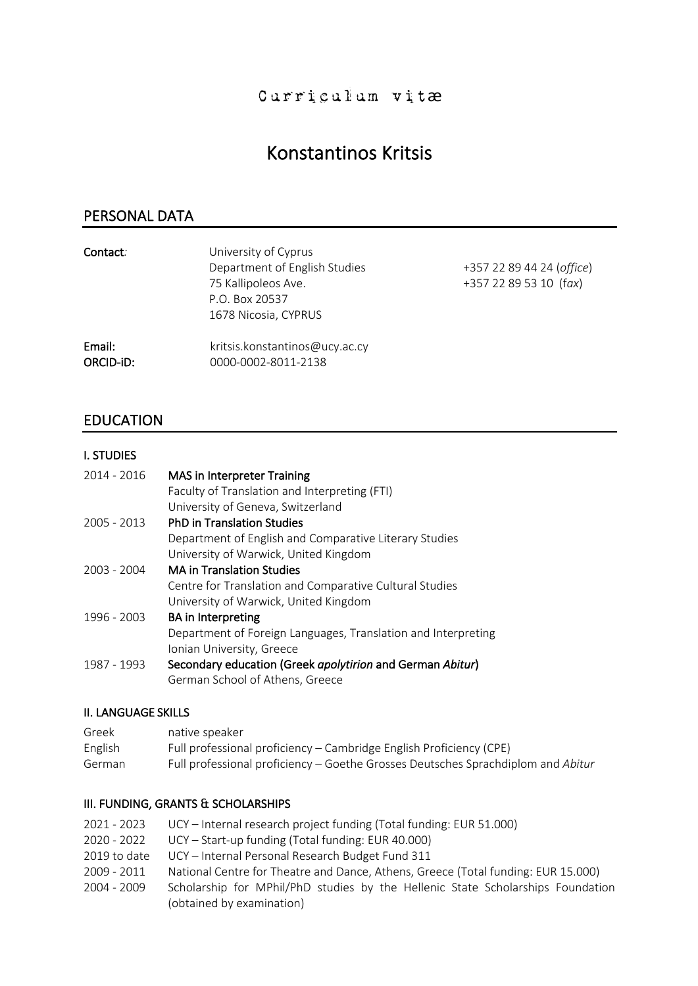# Konstantinos Kritsis

# PERSONAL DATA

| Contact:  | University of Cyprus           |                           |  |
|-----------|--------------------------------|---------------------------|--|
|           | Department of English Studies  | +357 22 89 44 24 (office) |  |
|           | 75 Kallipoleos Ave.            | +357 22 89 53 10 (fax)    |  |
|           | P.O. Box 20537                 |                           |  |
|           | 1678 Nicosia, CYPRUS           |                           |  |
| Email:    | kritsis.konstantinos@ucy.ac.cy |                           |  |
| ORCID-iD: | 0000-0002-8011-2138            |                           |  |

# EDUCATION

# I. STUDIES

| 2014 - 2016 | <b>MAS</b> in Interpreter Training                            |
|-------------|---------------------------------------------------------------|
|             | Faculty of Translation and Interpreting (FTI)                 |
|             | University of Geneva, Switzerland                             |
| 2005 - 2013 | <b>PhD in Translation Studies</b>                             |
|             | Department of English and Comparative Literary Studies        |
|             | University of Warwick, United Kingdom                         |
| 2003 - 2004 | <b>MA in Translation Studies</b>                              |
|             | Centre for Translation and Comparative Cultural Studies       |
|             | University of Warwick, United Kingdom                         |
| 1996 - 2003 | <b>BA</b> in Interpreting                                     |
|             | Department of Foreign Languages, Translation and Interpreting |
|             | Ionian University, Greece                                     |
| 1987 - 1993 | Secondary education (Greek apolytirion and German Abitur)     |
|             | German School of Athens, Greece                               |

#### ΙΙ. LANGUAGE SKILLS

| Greek   | native speaker                                                                   |
|---------|----------------------------------------------------------------------------------|
| English | Full professional proficiency – Cambridge English Proficiency (CPE)              |
| German  | Full professional proficiency – Goethe Grosses Deutsches Sprachdiplom and Abitur |

#### ΙΙI. FUNDING, GRANTS & SCHOLARSHIPS

| 2021 - 2023  | UCY - Internal research project funding (Total funding: EUR 51.000)               |
|--------------|-----------------------------------------------------------------------------------|
| 2020 - 2022  | UCY – Start-up funding (Total funding: EUR 40.000)                                |
| 2019 to date | UCY - Internal Personal Research Budget Fund 311                                  |
| 2009 - 2011  | National Centre for Theatre and Dance, Athens, Greece (Total funding: EUR 15.000) |
| 2004 - 2009  | Scholarship for MPhil/PhD studies by the Hellenic State Scholarships Foundation   |
|              | (obtained by examination)                                                         |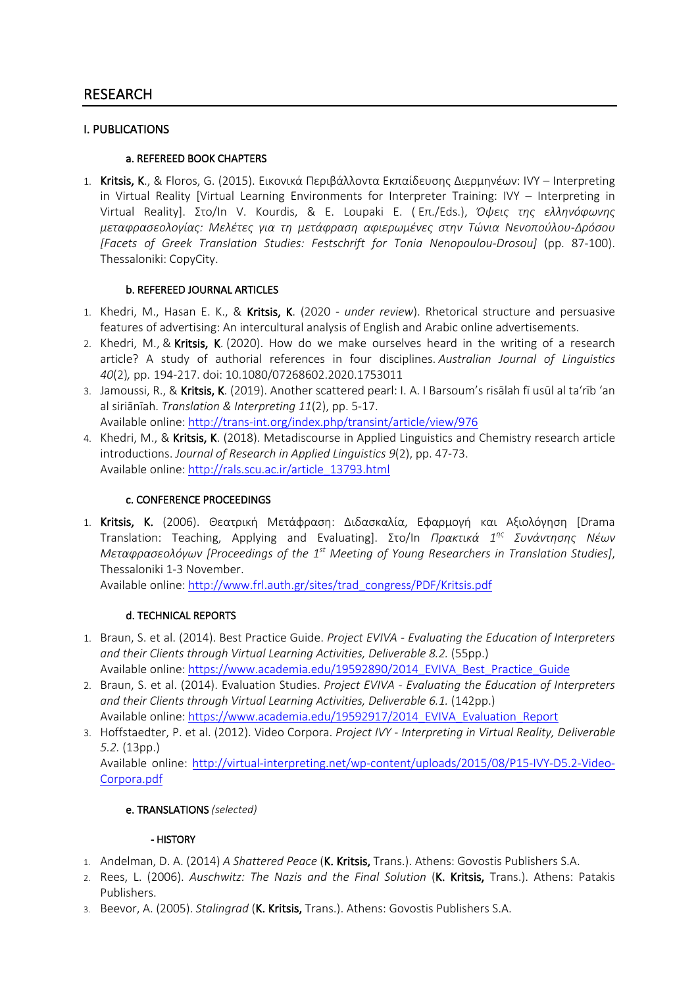#### I. PUBLICATIONS

#### a. REFEREED BOOK CHAPTERS

1. Kritsis, K., & Floros, G. (2015). Εικονικά Περιβάλλοντα Εκπαίδευσης Διερμηνέων: IVY – Interpreting in Virtual Reality [Virtual Learning Environments for Interpreter Training: IVY – Interpreting in Virtual Reality]. Στο/In V. Kourdis, & E. Loupaki E. ( Επ./Eds.), *Όψεις της ελληνόφωνης μεταφρασεολογίας: Μελέτες για τη μετάφραση αφιερωμένες στην Τώνια Νενοπούλου-Δρόσου [Facets of Greek Translation Studies: Festschrift for Tonia Nenopoulou-Drosou]* (pp. 87-100). Thessaloniki: CopyCity.

#### b. REFEREED JOURNAL ARTICLES

- 1. Khedri, M., Hasan E. K., & Kritsis, K. (2020 *under review*). Rhetorical structure and persuasive features of advertising: An intercultural analysis of English and Arabic online advertisements.
- 2. Khedri, M., & Kritsis, K. (2020). How do we make ourselves heard in the writing of a research article? A study of authorial references in four disciplines. *Australian Journal of Linguistics 40*(2)*,* pp. 194-217. doi: 10.1080/07268602.2020.1753011
- 3. Jamoussi, R., & Kritsis, K. (2019). Another scattered pearl: I. A. I Barsoum's risālah fī usūl al ta'rīb 'an al siriānīah. *Translation & Interpreting 11*(2), pp. 5-17.

Available online: http://trans-int.org/index.php/transint/article/view/976

4. Khedri, M., & Kritsis, K. (2018). Metadiscourse in Applied Linguistics and Chemistry research article introductions. *Journal of Research in Applied Linguistics 9*(2), pp. 47-73. Available online: http://rals.scu.ac.ir/article\_13793.html

# c. CONFERENCE PROCEEDINGS

1. Kritsis, K. (2006). Θεατρική Μετάφραση: Διδασκαλία, Εφαρμογή και Αξιολόγηση [Drama Translation: Teaching, Applying and Evaluating]. Στο/In *Πρακτικά 1ης Συνάντησης Νέων Μεταφρασεολόγων [Proceedings of the 1st Meeting of Young Researchers in Translation Studies]*, Thessaloniki 1-3 November.

Available online: http://www.frl.auth.gr/sites/trad\_congress/PDF/Kritsis.pdf

# d. TECHNICAL REPORTS

- 1. Braun, S. et al. (2014). Best Practice Guide. *Project EVIVA - Evaluating the Education of Interpreters and their Clients through Virtual Learning Activities, Deliverable 8.2.* (55pp.) Available online: https://www.academia.edu/19592890/2014\_EVIVA\_Best\_Practice\_Guide
- 2. Braun, S. et al. (2014). Evaluation Studies. *Project EVIVA - Evaluating the Education of Interpreters and their Clients through Virtual Learning Activities, Deliverable 6.1.* (142pp.) Available online: https://www.academia.edu/19592917/2014\_EVIVA\_Evaluation\_Report
- 3. Hoffstaedter, P. et al. (2012). Video Corpora. *Project IVY - Interpreting in Virtual Reality, Deliverable 5.2.* (13pp.) Available online: http://virtual-interpreting.net/wp-content/uploads/2015/08/P15-IVY-D5.2-Video-

Corpora.pdf

# e. TRANSLATIONS *(selected)*

#### - HISTORY

- 1. Andelman, D. A. (2014) *A Shattered Peace* (K. Kritsis, Trans.). Athens: Govostis Publishers S.A.
- 2. Rees, L. (2006). *Auschwitz: The Nazis and the Final Solution* (K. Kritsis, Trans.). Athens: Patakis Publishers.
- 3. Beevor, A. (2005). *Stalingrad* (K. Kritsis, Trans.). Athens: Govostis Publishers S.A.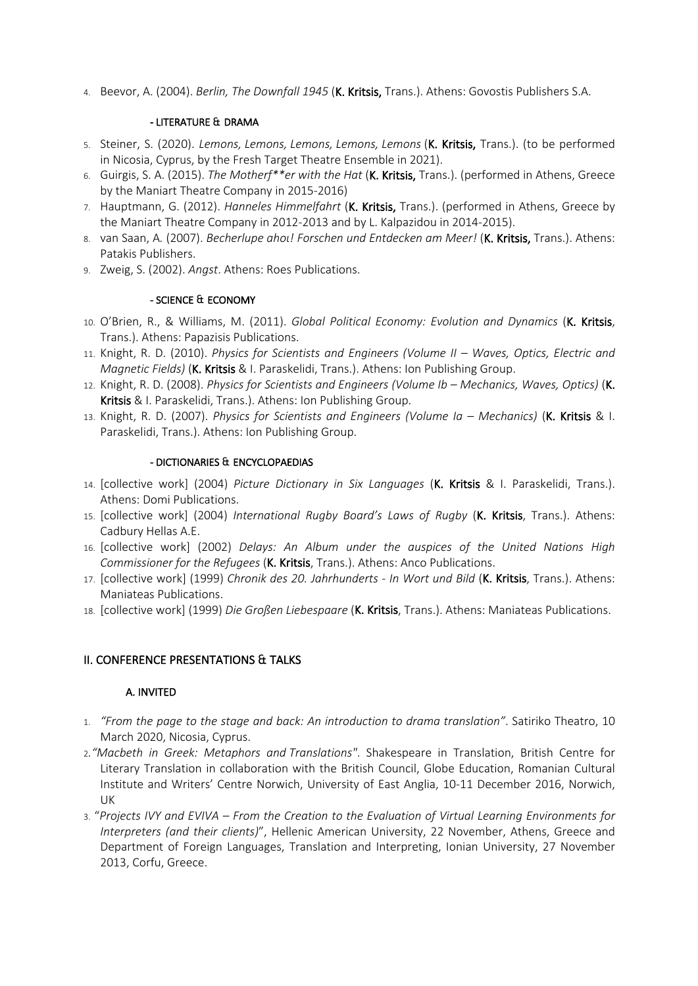4. Beevor, A. (2004). *Berlin, The Downfall 1945* (K. Kritsis, Trans.). Athens: Govostis Publishers S.A.

#### - LITERATURE & DRAMA

- 5. Steiner, S. (2020). *Lemons, Lemons, Lemons, Lemons, Lemons* (K. Kritsis, Trans.). (to be performed in Nicosia, Cyprus, by the Fresh Target Theatre Ensemble in 2021).
- 6. Guirgis, S. Α. (2015). *The Motherf\*\*er with the Hat* (K. Kritsis, Trans.). (performed in Athens, Greece by the Maniart Theatre Company in 2015-2016)
- 7. Hauptmann, G. (2012). *Hanneles Himmelfahrt* (K. Kritsis, Trans.). (performed in Athens, Greece by the Maniart Theatre Company in 2012-2013 and by L. Kalpazidou in 2014-2015).
- 8. van Saan, A*.* (2007). *Becherlupe ahoι! Forschen und Entdecken am Meer!* (K. Kritsis, Trans.). Athens: Patakis Publishers.
- 9. Zweig, S. (2002). *Angst*. Athens: Roes Publications.

#### - SCIENCE & ECONOMY

- 10. O'Brien, R., & Williams, M. (2011). *Global Political Economy: Evolution and Dynamics* (K. Kritsis, Trans.). Athens: Papazisis Publications.
- 11. Knight, R. D. (2010). *Physics for Scientists and Engineers (Volume II – Waves, Optics, Electric and Magnetic Fields)* (K. Kritsis & I. Paraskelidi, Trans.). Athens: Ion Publishing Group.
- 12. Knight, R. D. (2008). *Physics for Scientists and Engineers (Volume Ib – Mechanics, Waves, Optics)* (K. Kritsis & I. Paraskelidi, Trans.). Athens: Ion Publishing Group.
- 13. Knight, R. D. (2007). *Physics for Scientists and Engineers (Volume Ia – Mechanics)* (K. Kritsis & I. Paraskelidi, Trans.). Athens: Ion Publishing Group.

#### - DICTIONARIES & ENCYCLOPAEDIAS

- 14. [collective work] (2004) *Picture Dictionary in Six Languages* (K. Kritsis & I. Paraskelidi, Trans.). Athens: Domi Publications.
- 15. [collective work] (2004) *International Rugby Board's Laws of Rugby* (K. Kritsis, Trans.). Athens: Cadbury Hellas A.E.
- 16. [collective work] (2002) *Delays: An Album under the auspices of the United Nations High Commissioner for the Refugees* (K. Kritsis, Trans.). Athens: Anco Publications.
- 17. [collective work] (1999) *Chronik des 20. Jahrhunderts - In Wort und Bild* (K. Kritsis, Trans.). Athens: Maniateas Publications.
- 18. [collective work] (1999) *Die Großen Liebespaare* (K. Kritsis, Trans.). Athens: Maniateas Publications.

# II. CONFERENCE PRESENTATIONS & TALKS

# A. INVITED

- 1. *"From the page to the stage and back: An introduction to drama translation"*. Satiriko Theatro, 10 March 2020, Nicosia, Cyprus.
- 2*."Macbeth in Greek: Metaphors and Translations"*. Shakespeare in Translation, British Centre for Literary Translation in collaboration with the British Council, Globe Education, Romanian Cultural Institute and Writers' Centre Norwich, University of East Anglia, 10-11 December 2016, Norwich, UK
- 3. "*Projects IVY and EVIVA – From the Creation to the Evaluation of Virtual Learning Environments for Interpreters (and their clients)*", Hellenic American University, 22 November, Athens, Greece and Department of Foreign Languages, Translation and Interpreting, Ionian University, 27 November 2013, Corfu, Greece.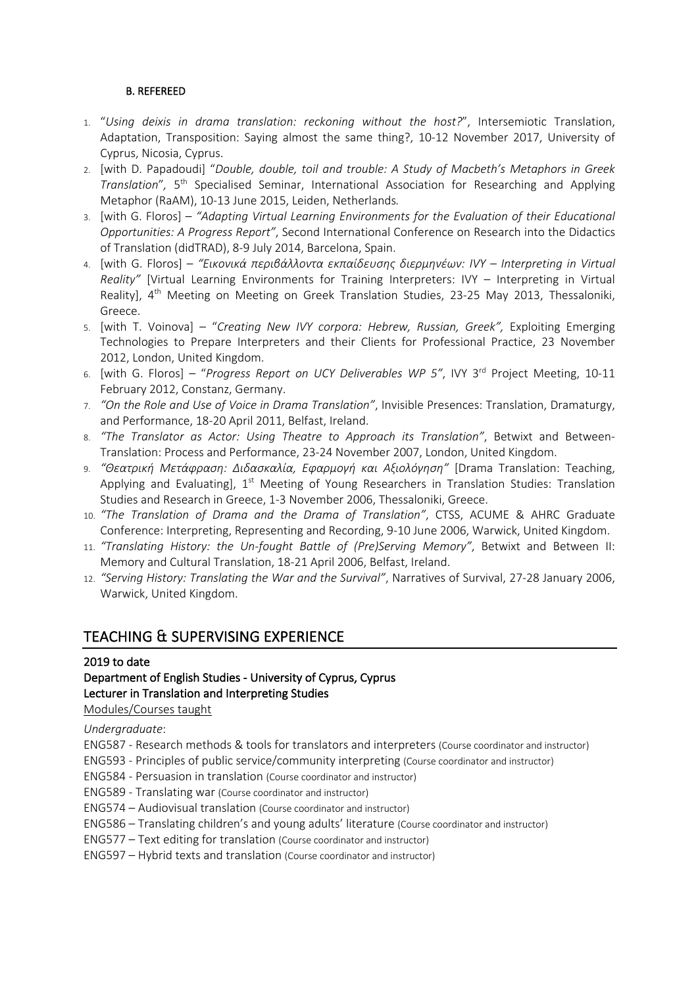#### B. REFEREED

- 1. "*Using deixis in drama translation: reckoning without the host?*", Intersemiotic Translation, Adaptation, Transposition: Saying almost the same thing?, 10-12 November 2017, University of Cyprus, Nicosia, Cyprus.
- 2. [with D. Papadoudi] "*Double, double, toil and trouble: A Study of Macbeth's Metaphors in Greek Translation*"*,* 5th Specialised Seminar, International Association for Researching and Applying Metaphor (RaAM), 10-13 June 2015, Leiden, Netherlands*.*
- 3. [with G. Floros] *"Adapting Virtual Learning Environments for the Evaluation of their Educational Opportunities: A Progress Report"*, Second International Conference on Research into the Didactics of Translation (didTRAD), 8-9 July 2014, Barcelona, Spain.
- 4. [with G. Floros] *"Εικονικά περιβάλλοντα εκπαίδευσης διερμηνέων: IVY – Interpreting in Virtual Reality"* [Virtual Learning Environments for Training Interpreters: IVY – Interpreting in Virtual Reality], 4<sup>th</sup> Meeting on Meeting on Greek Translation Studies, 23-25 May 2013, Thessaloniki, Greece.
- 5. [with T. Voinova] "*Creating New IVY corpora: Hebrew, Russian, Greek",* Exploiting Emerging Technologies to Prepare Interpreters and their Clients for Professional Practice, 23 November 2012, London, United Kingdom.
- 6. [with G. Floros] "*Progress Report on UCY Deliverables WP 5"*, IVY 3rd Project Meeting, 10-11 February 2012, Constanz, Germany.
- 7. *"On the Role and Use of Voice in Drama Translation"*, Invisible Presences: Translation, Dramaturgy, and Performance, 18-20 April 2011, Belfast, Ireland.
- 8. *"The Translator as Actor: Using Theatre to Approach its Translation"*, Betwixt and Between-Translation: Process and Performance, 23-24 November 2007, London, United Kingdom.
- 9. *"Θεατρική Μετάφραση: Διδασκαλία, Εφαρμογή και Αξιολόγηση"* [Drama Translation: Teaching, Applying and Evaluating],  $1<sup>st</sup>$  Meeting of Young Researchers in Translation Studies: Translation Studies and Research in Greece, 1-3 November 2006, Thessaloniki, Greece.
- 10. *"The Translation of Drama and the Drama of Translation"*, CTSS, ACUME & AHRC Graduate Conference: Interpreting, Representing and Recording, 9-10 June 2006, Warwick, United Kingdom.
- 11. *"Translating History: the Un-fought Battle of (Pre)Serving Memory"*, Betwixt and Between II: Memory and Cultural Translation, 18-21 April 2006, Belfast, Ireland.
- 12. *"Serving History: Translating the War and the Survival"*, Narratives of Survival, 27-28 January 2006, Warwick, United Kingdom.

# TEACHING & SUPERVISING EXPERIENCE

#### 2019 to date

#### Department of English Studies - University of Cyprus, Cyprus Lecturer in Translation and Interpreting Studies Modules/Courses taught

*Undergraduate*:

- ENG587 Research methods & tools for translators and interpreters (Course coordinator and instructor)
- ENG593 Principles of public service/community interpreting (Course coordinator and instructor)
- ENG584 Persuasion in translation (Course coordinator and instructor)
- ENG589 Translating war (Course coordinator and instructor)
- ENG574 Audiovisual translation (Course coordinator and instructor)
- ENG586 Translating children's and young adults' literature (Course coordinator and instructor)
- ENG577 Text editing for translation (Course coordinator and instructor)
- ENG597 Hybrid texts and translation (Course coordinator and instructor)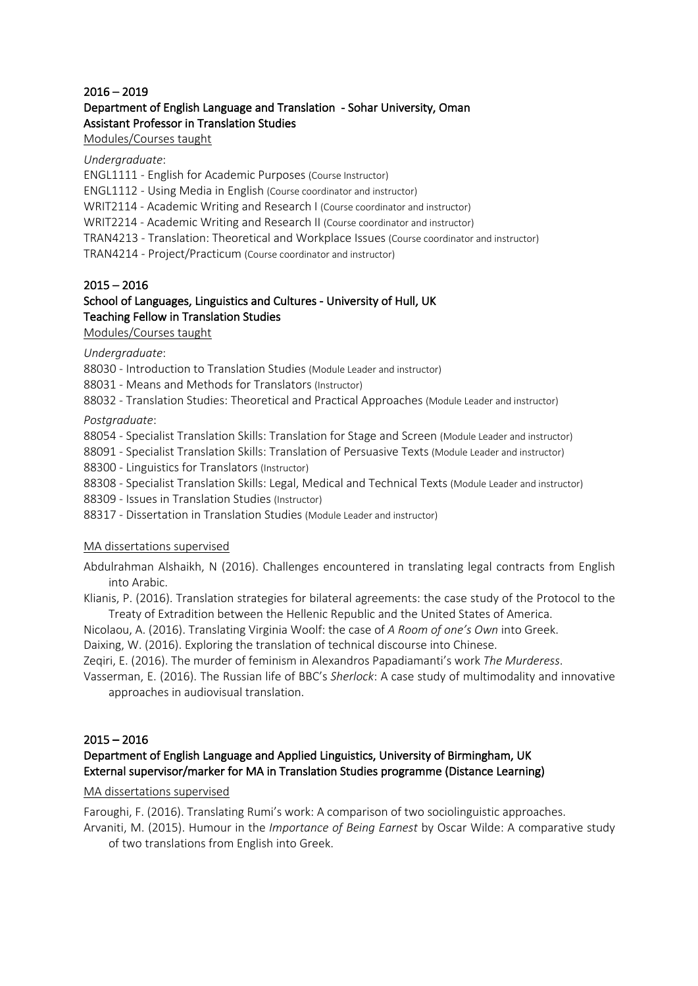#### 2016 – 2019

# Department of English Language and Translation - Sohar University, Oman Assistant Professor in Translation Studies

#### Modules/Courses taught

#### *Undergraduate*:

ENGL1111 - English for Academic Purposes (Course Instructor)

ENGL1112 - Using Media in English (Course coordinator and instructor)

WRIT2114 - Academic Writing and Research I (Course coordinator and instructor)

WRIT2214 - Academic Writing and Research II (Course coordinator and instructor)

TRAN4213 - Translation: Theoretical and Workplace Issues (Course coordinator and instructor)

TRAN4214 - Project/Practicum (Course coordinator and instructor)

#### 2015 – 2016

# School of Languages, Linguistics and Cultures - University of Hull, UK Teaching Fellow in Translation Studies

Modules/Courses taught

*Undergraduate*:

88030 - Introduction to Translation Studies (Module Leader and instructor)

88031 - Means and Methods for Translators (Instructor)

88032 - Translation Studies: Theoretical and Practical Approaches (Module Leader and instructor)

*Postgraduate*:

88054 - Specialist Translation Skills: Translation for Stage and Screen (Module Leader and instructor)

88091 - Specialist Translation Skills: Translation of Persuasive Texts (Module Leader and instructor)

88300 - Linguistics for Translators (Instructor)

88308 - Specialist Translation Skills: Legal, Medical and Technical Texts (Module Leader and instructor)

88309 - Issues in Translation Studies (Instructor)

88317 - Dissertation in Translation Studies (Module Leader and instructor)

#### MA dissertations supervised

Abdulrahman Alshaikh, N (2016). Challenges encountered in translating legal contracts from English into Arabic.

Klianis, P. (2016). Translation strategies for bilateral agreements: the case study of the Protocol to the Treaty of Extradition between the Hellenic Republic and the United States of America.

Nicolaou, A. (2016). Translating Virginia Woolf: the case of *A Room of one's Own* into Greek.

Daixing, W. (2016). Exploring the translation of technical discourse into Chinese.

Zeqiri, E. (2016). The murder of feminism in Alexandros Papadiamanti's work *The Murderess*.

Vasserman, E. (2016). The Russian life of BBC's *Sherlock*: A case study of multimodality and innovative approaches in audiovisual translation.

# 2015 – 2016

# Department of English Language and Applied Linguistics, University of Birmingham, UK External supervisor/marker for MA in Translation Studies programme (Distance Learning)

MA dissertations supervised

Faroughi, F. (2016). Translating Rumi's work: A comparison of two sociolinguistic approaches.

Arvaniti, M. (2015). Humour in the *Importance of Being Earnest* by Oscar Wilde: A comparative study of two translations from English into Greek.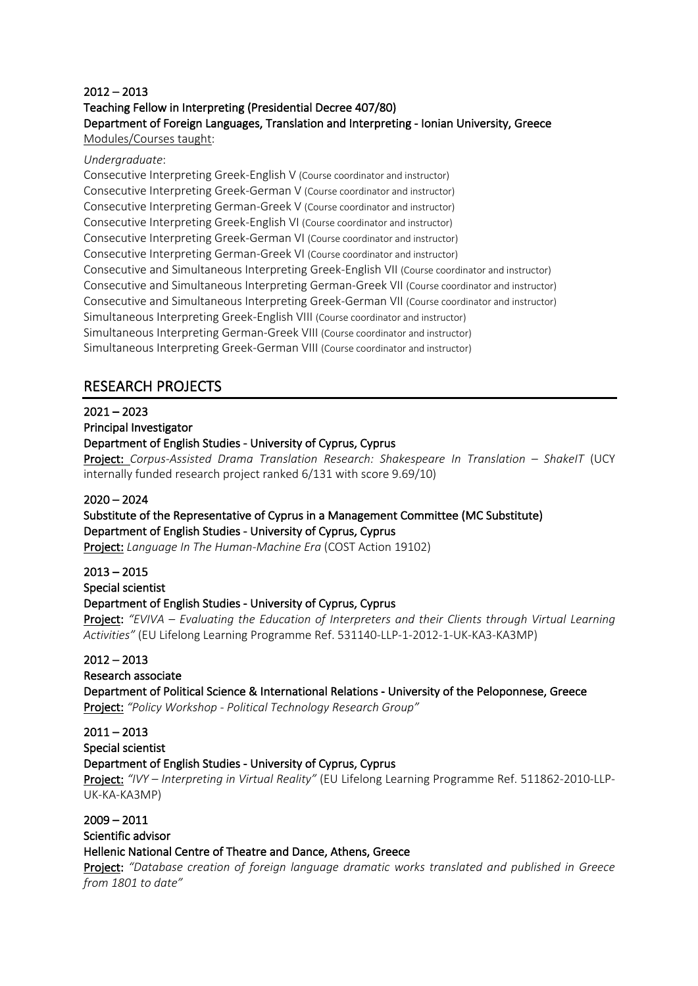# 2012 – 2013 Teaching Fellow in Interpreting (Presidential Decree 407/80) Department of Foreign Languages, Translation and Interpreting - Ionian University, Greece

Modules/Courses taught:

#### *Undergraduate*:

Consecutive Interpreting Greek-English V (Course coordinator and instructor) Consecutive Interpreting Greek-German V (Course coordinator and instructor) Consecutive Interpreting German-Greek V (Course coordinator and instructor) Consecutive Interpreting Greek-English VI (Course coordinator and instructor) Consecutive Interpreting Greek-German VI (Course coordinator and instructor) Consecutive Interpreting German-Greek VI (Course coordinator and instructor) Consecutive and Simultaneous Interpreting Greek-English VII (Course coordinator and instructor) Consecutive and Simultaneous Interpreting German-Greek VII (Course coordinator and instructor) Consecutive and Simultaneous Interpreting Greek-German VII (Course coordinator and instructor) Simultaneous Interpreting Greek-English VIII (Course coordinator and instructor) Simultaneous Interpreting German-Greek VIII (Course coordinator and instructor) Simultaneous Interpreting Greek-German VIII (Course coordinator and instructor)

# RESEARCH PROJECTS

# $2021 - 2023$

#### Principal Investigator

# Department of English Studies - University of Cyprus, Cyprus

Project: *Corpus-Assisted Drama Translation Research: Shakespeare In Translation – ShakeIT* (UCY internally funded research project ranked 6/131 with score 9.69/10)

#### 2020 – 2024

#### Substitute of the Representative of Cyprus in a Management Committee (MC Substitute) Department of English Studies - University of Cyprus, Cyprus

Project: *Language In The Human-Machine Era* (COST Action 19102)

# 2013 – 2015

# Special scientist

# Department of English Studies - University of Cyprus, Cyprus

Project: *"EVIVA – Evaluating the Education of Interpreters and their Clients through Virtual Learning Activities"* (EU Lifelong Learning Programme Ref. 531140-LLP-1-2012-1-UK-KA3-KA3MP)

# 2012 – 2013

#### Research associate

Department of Political Science & International Relations - University of the Peloponnese, Greece Project: *"Policy Workshop - Political Technology Research Group"*

# $2011 - 2013$

Special scientist

# Department of English Studies - University of Cyprus, Cyprus

Project: *"IVY – Interpreting in Virtual Reality"* (EU Lifelong Learning Programme Ref. 511862-2010-LLP-UK-KA-KA3MP)

# 2009 – 2011

# Scientific advisor

# Hellenic National Centre of Theatre and Dance, Athens, Greece

Project: *"Database creation of foreign language dramatic works translated and published in Greece from 1801 to date"*